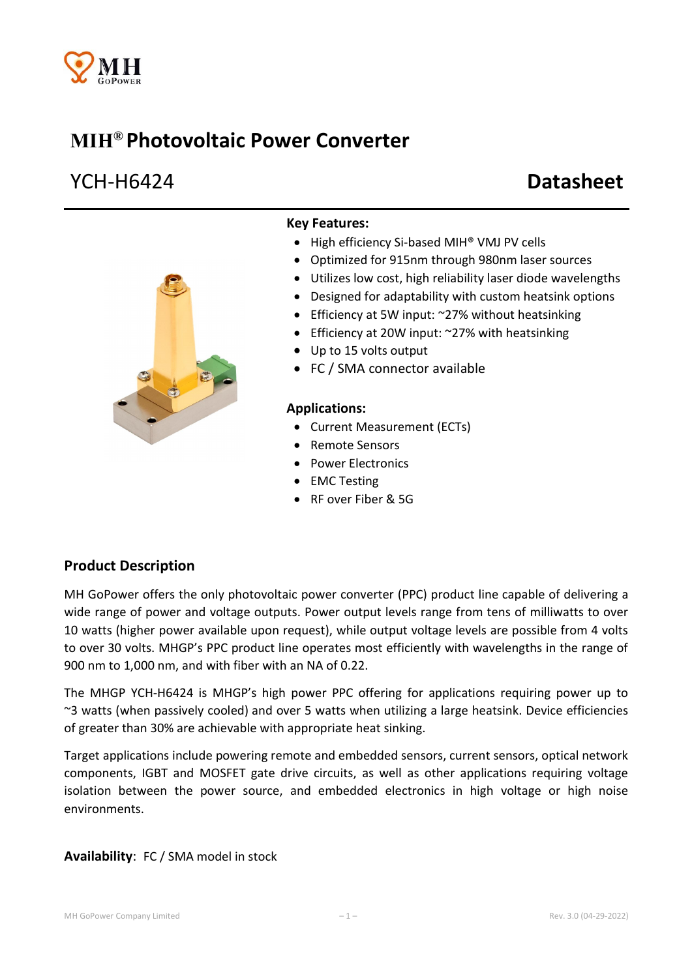

# MIH® Photovoltaic Power Converter

# YCH-H6424 Datasheet



#### Key Features:

- High efficiency Si-based MIH® VMJ PV cells
- Optimized for 915nm through 980nm laser sources
- Utilizes low cost, high reliability laser diode wavelengths
- Designed for adaptability with custom heatsink options
- Efficiency at 5W input: ~27% without heatsinking
- Efficiency at 20W input: ~27% with heatsinking
- Up to 15 volts output
- FC / SMA connector available

#### Applications:

- Current Measurement (ECTs)
- Remote Sensors
- Power Electronics
- EMC Testing
- RF over Fiber & 5G

### Product Description

MH GoPower offers the only photovoltaic power converter (PPC) product line capable of delivering a wide range of power and voltage outputs. Power output levels range from tens of milliwatts to over 10 watts (higher power available upon request), while output voltage levels are possible from 4 volts to over 30 volts. MHGP's PPC product line operates most efficiently with wavelengths in the range of 900 nm to 1,000 nm, and with fiber with an NA of 0.22.

The MHGP YCH-H6424 is MHGP's high power PPC offering for applications requiring power up to ~3 watts (when passively cooled) and over 5 watts when utilizing a large heatsink. Device efficiencies of greater than 30% are achievable with appropriate heat sinking.

Target applications include powering remote and embedded sensors, current sensors, optical network components, IGBT and MOSFET gate drive circuits, as well as other applications requiring voltage isolation between the power source, and embedded electronics in high voltage or high noise environments.

#### Availability: FC / SMA model in stock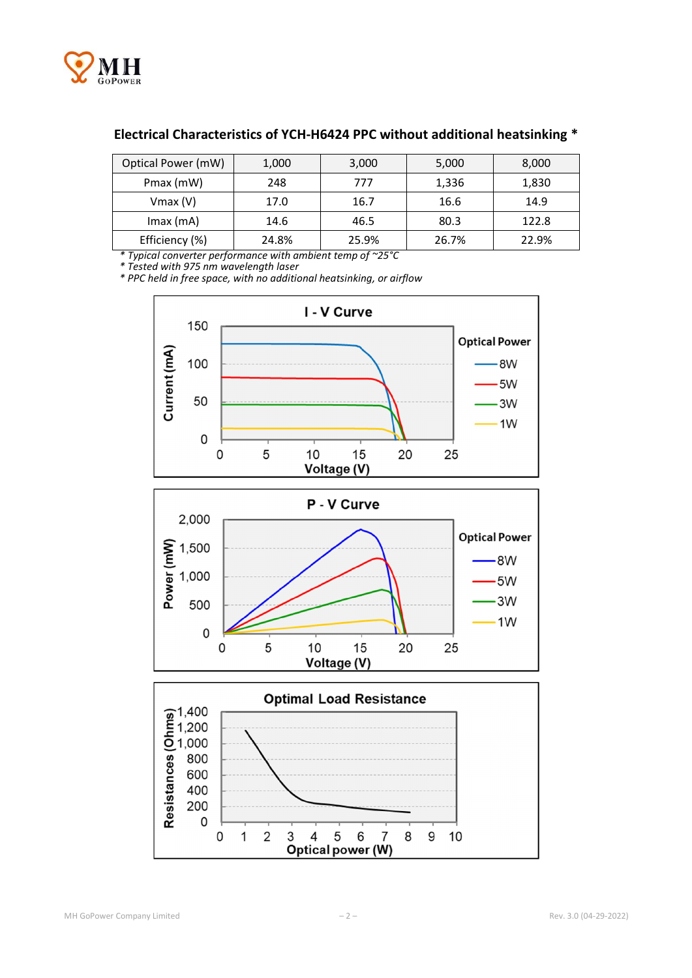

#### Electrical Characteristics of YCH-H6424 PPC without additional heatsinking \*

| Optical Power (mW) | 1,000 | 3,000 | 5,000 | 8,000 |
|--------------------|-------|-------|-------|-------|
| Pmax (mW)          | 248   | 777   | 1,336 | 1,830 |
| $V$ max $(V)$      | 17.0  | 16.7  | 16.6  | 14.9  |
| $Imax$ (mA)        | 14.6  | 46.5  | 80.3  | 122.8 |
| Efficiency (%)     | 24.8% | 25.9% | 26.7% | 22.9% |

*\* Typical converter performance with ambient temp of ~25°C*

*\* Tested with 975 nm wavelength laser*

*\* PPC held in free space, with no additional heatsinking, or airflow* 





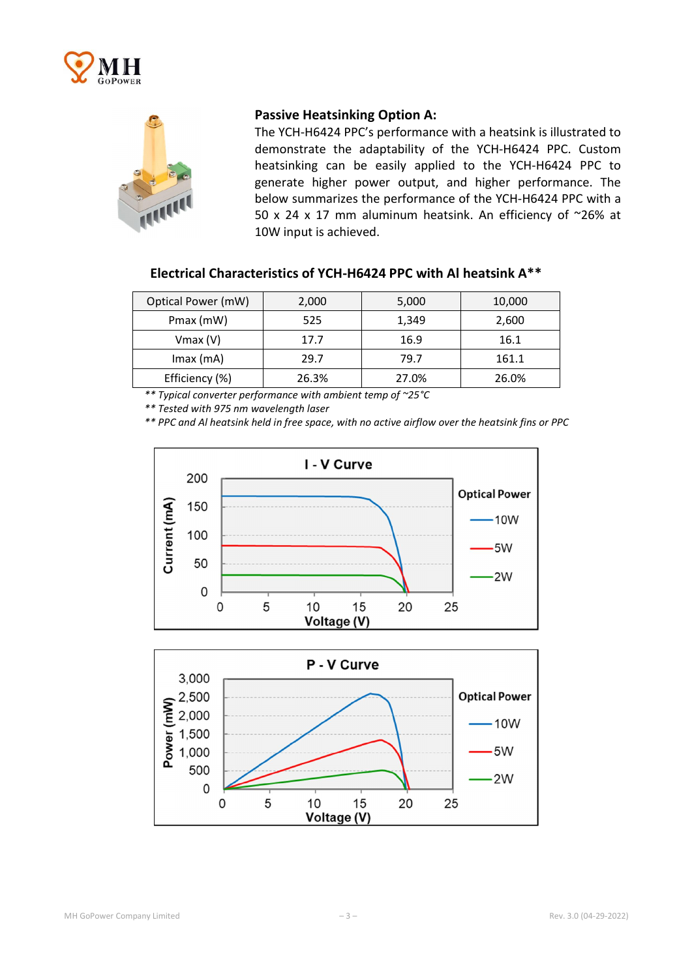



#### Passive Heatsinking Option A:

The YCH-H6424 PPC's performance with a heatsink is illustrated to demonstrate the adaptability of the YCH-H6424 PPC. Custom heatsinking can be easily applied to the YCH-H6424 PPC to generate higher power output, and higher performance. The below summarizes the performance of the YCH-H6424 PPC with a 50 x 24 x 17 mm aluminum heatsink. An efficiency of ~26% at 10W input is achieved.

#### Electrical Characteristics of YCH-H6424 PPC with Al heatsink A\*\*

| Optical Power (mW) | 2,000 | 5,000 | 10,000 |
|--------------------|-------|-------|--------|
| Pmax (mW)          | 525   | 1,349 | 2,600  |
| $V$ max $(V)$      | 17.7  | 16.9  | 16.1   |
| $Imax$ (mA)        | 29.7  | 79.7  | 161.1  |
| Efficiency (%)     | 26.3% | 27.0% | 26.0%  |

*\*\* Typical converter performance with ambient temp of ~25°C*

*\*\* Tested with 975 nm wavelength laser*

*\*\* PPC and Al heatsink held in free space, with no active airflow over the heatsink fins or PPC*



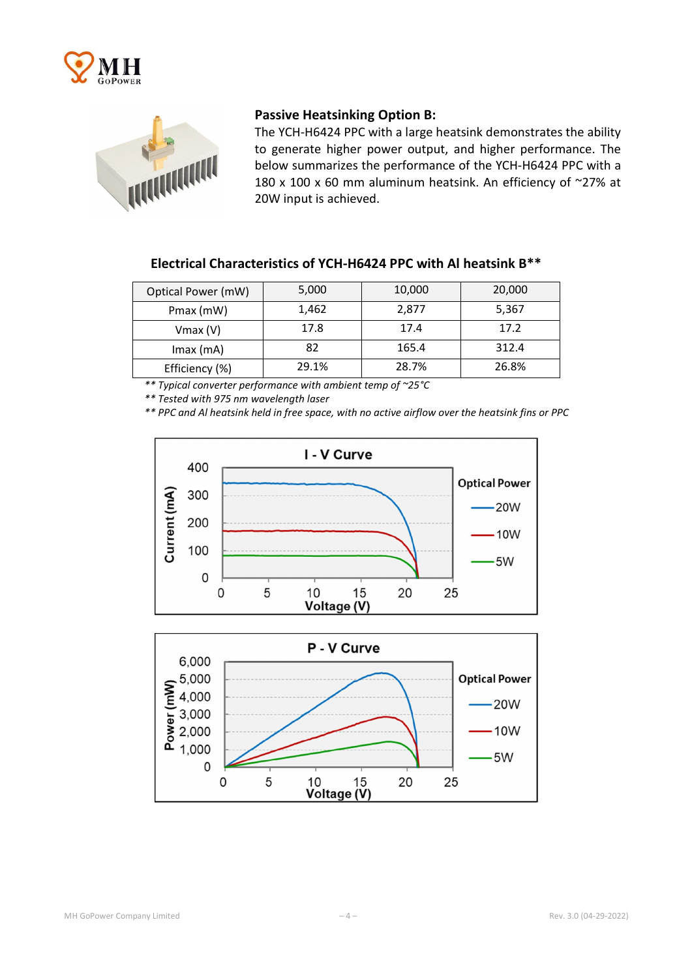



#### Passive Heatsinking Option B:

The YCH-H6424 PPC with a large heatsink demonstrates the ability to generate higher power output, and higher performance. The below summarizes the performance of the YCH-H6424 PPC with a 180 x 100 x 60 mm aluminum heatsink. An efficiency of  $\sim$ 27% at 20W input is achieved.

## Electrical Characteristics of YCH-H6424 PPC with Al heatsink B\*\*

| Optical Power (mW) | 5,000 | 10,000 | 20,000 |
|--------------------|-------|--------|--------|
| Pmax (mW)          | 1,462 | 2,877  | 5,367  |
| $V$ max $(V)$      | 17.8  | 17.4   | 17.2   |
| $Imax$ (mA)        | 82    | 165.4  | 312.4  |
| Efficiency (%)     | 29.1% | 28.7%  | 26.8%  |

*\*\* Typical converter performance with ambient temp of ~25°C*

*\*\* Tested with 975 nm wavelength laser*

*\*\* PPC and Al heatsink held in free space, with no active airflow over the heatsink fins or PPC*